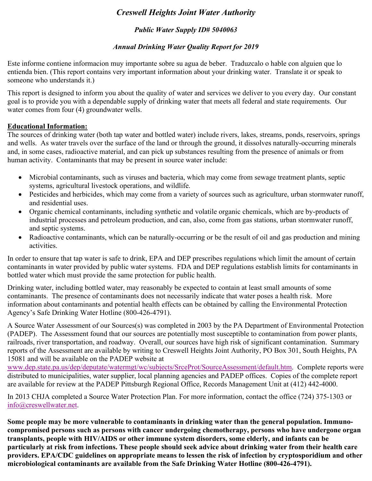# *Creswell Heights Joint Water Authority*

# *Public Water Supply ID# 5040063*

# *Annual Drinking Water Quality Report for 2019*

Este informe contiene informacion muy importante sobre su agua de beber. Traduzcalo o hable con alguien que lo entienda bien. (This report contains very important information about your drinking water. Translate it or speak to someone who understands it.)

This report is designed to inform you about the quality of water and services we deliver to you every day. Our constant goal is to provide you with a dependable supply of drinking water that meets all federal and state requirements. Our water comes from four (4) groundwater wells.

## **Educational Information:**

The sources of drinking water (both tap water and bottled water) include rivers, lakes, streams, ponds, reservoirs, springs and wells. As water travels over the surface of the land or through the ground, it dissolves naturally-occurring minerals and, in some cases, radioactive material, and can pick up substances resulting from the presence of animals or from human activity. Contaminants that may be present in source water include:

- Microbial contaminants, such as viruses and bacteria, which may come from sewage treatment plants, septic systems, agricultural livestock operations, and wildlife.
- Pesticides and herbicides, which may come from a variety of sources such as agriculture, urban stormwater runoff, and residential uses.
- Organic chemical contaminants, including synthetic and volatile organic chemicals, which are by-products of industrial processes and petroleum production, and can, also, come from gas stations, urban stormwater runoff, and septic systems.
- Radioactive contaminants, which can be naturally-occurring or be the result of oil and gas production and mining activities.

In order to ensure that tap water is safe to drink, EPA and DEP prescribes regulations which limit the amount of certain contaminants in water provided by public water systems. FDA and DEP regulations establish limits for contaminants in bottled water which must provide the same protection for public health.

Drinking water, including bottled water, may reasonably be expected to contain at least small amounts of some contaminants. The presence of contaminants does not necessarily indicate that water poses a health risk. More information about contaminants and potential health effects can be obtained by calling the Environmental Protection Agency's Safe Drinking Water Hotline (800-426-4791).

A Source Water Assessment of our Sources(s) was completed in 2003 by the PA Department of Environmental Protection (PADEP). The Assessment found that our sources are potentially most susceptible to contamination from power plants, railroads, river transportation, and roadway. Overall, our sources have high risk of significant contamination. Summary reports of the Assessment are available by writing to Creswell Heights Joint Authority, PO Box 301, South Heights, PA 15081 and will be available on the PADEP website at

www.dep.state.pa.us/dep/deputate/watermgt/wc/subjects/SrceProt/SourceAssessment/default.htm. Complete reports were distributed to municipalities, water supplier, local planning agencies and PADEP offices. Copies of the complete report are available for review at the PADEP Pittsburgh Regional Office, Records Management Unit at (412) 442-4000.

In 2013 CHJA completed a Source Water Protection Plan. For more information, contact the office (724) 375-1303 or info@creswellwater.net.

**Some people may be more vulnerable to contaminants in drinking water than the general population. Immunocompromised persons such as persons with cancer undergoing chemotherapy, persons who have undergone organ transplants, people with HIV/AIDS or other immune system disorders, some elderly, and infants can be particularly at risk from infections. These people should seek advice about drinking water from their health care providers. EPA/CDC guidelines on appropriate means to lessen the risk of infection by cryptosporidium and other microbiological contaminants are available from the Safe Drinking Water Hotline (800-426-4791).**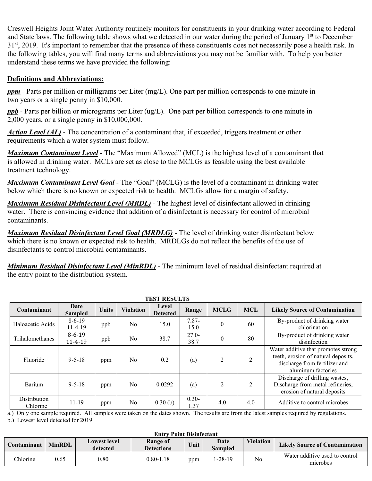Creswell Heights Joint Water Authority routinely monitors for constituents in your drinking water according to Federal and State laws. The following table shows what we detected in our water during the period of January 1<sup>st</sup> to December  $31<sup>st</sup>$ , 2019. It's important to remember that the presence of these constituents does not necessarily pose a health risk. In the following tables, you will find many terms and abbreviations you may not be familiar with. To help you better understand these terms we have provided the following:

#### **Definitions and Abbreviations:**

*ppm* - Parts per million or milligrams per Liter (mg/L). One part per million corresponds to one minute in two years or a single penny in \$10,000.

*ppb* - Parts per billion or micrograms per Liter (ug/L). One part per billion corresponds to one minute in 2,000 years, or a single penny in \$10,000,000.

*Action Level (AL)* - The concentration of a contaminant that, if exceeded, triggers treatment or other requirements which a water system must follow.

*Maximum Contaminant Level* - The "Maximum Allowed" (MCL) is the highest level of a contaminant that is allowed in drinking water. MCLs are set as close to the MCLGs as feasible using the best available treatment technology.

*Maximum Contaminant Level Goal* - The "Goal" (MCLG) is the level of a contaminant in drinking water below which there is no known or expected risk to health. MCLGs allow for a margin of safety.

*Maximum Residual Disinfectant Level (MRDL)* - The highest level of disinfectant allowed in drinking water. There is convincing evidence that addition of a disinfectant is necessary for control of microbial contaminants.

*Maximum Residual Disinfectant Level Goal (MRDLG)* - The level of drinking water disinfectant below which there is no known or expected risk to health. MRDLGs do not reflect the benefits of the use of disinfectants to control microbial contaminants.

*Minimum Residual Disinfectant Level (MinRDL)* - The minimum level of residual disinfectant required at the entry point to the distribution system.

| LEDI INEDULID            |                               |              |                  |                          |                  |                |                |                                                                                                                                   |
|--------------------------|-------------------------------|--------------|------------------|--------------------------|------------------|----------------|----------------|-----------------------------------------------------------------------------------------------------------------------------------|
| Contaminant              | Date<br><b>Sampled</b>        | <b>Units</b> | <b>Violation</b> | Level<br><b>Detected</b> | Range            | <b>MCLG</b>    | <b>MCL</b>     | <b>Likely Source of Contamination</b>                                                                                             |
| Haloacetic Acids         | $8-6-19$<br>11-4-19           | ppb          | No               | 15.0                     | $7.87 -$<br>15.0 | $\theta$       | 60             | By-product of drinking water<br>chlorination                                                                                      |
| Trihalomethanes          | $8 - 6 - 19$<br>$11 - 4 - 19$ | ppb          | N <sub>0</sub>   | 38.7                     | $27.0-$<br>38.7  | $\theta$       | 80             | By-product of drinking water<br>disinfection                                                                                      |
| Fluoride                 | $9 - 5 - 18$                  | ppm          | No               | 0.2                      | (a)              | $\mathfrak{D}$ | $\overline{2}$ | Water additive that promotes strong<br>teeth, erosion of natural deposits,<br>discharge from fertilizer and<br>aluminum factories |
| Barium                   | $9 - 5 - 18$                  | ppm          | N <sub>0</sub>   | 0.0292                   | (a)              | $\mathfrak{D}$ | 2              | Discharge of drilling wastes,<br>Discharge from metal refineries,<br>erosion of natural deposits                                  |
| Distribution<br>Chlorine | $11-19$                       | ppm          | N <sub>0</sub>   | 0.30(b)                  | $0.30 -$<br>1.37 | 4.0            | 4.0            | Additive to control microbes                                                                                                      |

**TEST DESILTS** 

a.) Only one sample required. All samples were taken on the dates shown. The results are from the latest samples required by regulations. b.) Lowest level detected for 2019.

| <b>Entry Point Disinfectant</b> |               |                          |                               |      |                        |                  |                                            |
|---------------------------------|---------------|--------------------------|-------------------------------|------|------------------------|------------------|--------------------------------------------|
| Contaminant                     | <b>MinRDL</b> | Lowest level<br>detected | Range of<br><b>Detections</b> | Unit | Date<br><b>Sampled</b> | <b>Violation</b> | <b>Likely Source of Contamination</b>      |
| Chlorine                        | 0.65          | 0.80                     | $0.80 - 1.18$                 | ppm  | $-28-19$               | No               | Water additive used to control<br>microbes |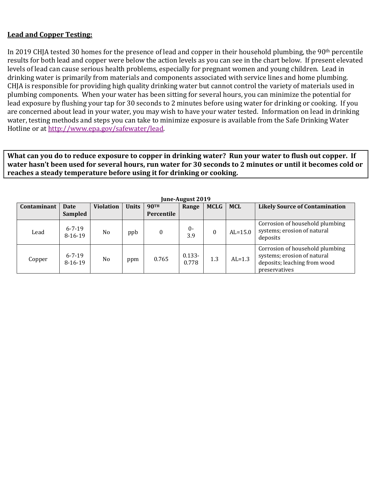## **Lead and Copper Testing:**

In 2019 CHJA tested 30 homes for the presence of lead and copper in their household plumbing, the 90<sup>th</sup> percentile results for both lead and copper were below the action levels as you can see in the chart below. If present elevated levels of lead can cause serious health problems, especially for pregnant women and young children. Lead in drinking water is primarily from materials and components associated with service lines and home plumbing. CHJA is responsible for providing high quality drinking water but cannot control the variety of materials used in plumbing components. When your water has been sitting for several hours, you can minimize the potential for lead exposure by flushing your tap for 30 seconds to 2 minutes before using water for drinking or cooking. If you are concerned about lead in your water, you may wish to have your water tested. Information on lead in drinking water, testing methods and steps you can take to minimize exposure is available from the Safe Drinking Water Hotline or at http://www.epa.gov/safewater/lead.

**What can you do to reduce exposure to copper in drinking water? Run your water to flush out copper. If water hasn't been used for several hours, run water for 30 seconds to 2 minutes or until it becomes cold or reaches a steady temperature before using it for drinking or cooking.** 

| Contaminant | <b>Date</b>               | <b>Violation</b> | <b>Units</b> | <b>90TH</b> | Range              | <b>MCLG</b> | <b>MCL</b> | <b>Likely Source of Contamination</b>                                                                           |
|-------------|---------------------------|------------------|--------------|-------------|--------------------|-------------|------------|-----------------------------------------------------------------------------------------------------------------|
|             | Sampled                   |                  |              | Percentile  |                    |             |            |                                                                                                                 |
| Lead        | $6 - 7 - 19$<br>$8-16-19$ | N <sub>o</sub>   | ppb          |             | $0-$<br>3.9        | $\theta$    | $AL=15.0$  | Corrosion of household plumbing<br>systems; erosion of natural<br>deposits                                      |
| Copper      | $6 - 7 - 19$<br>$8-16-19$ | No               | ppm          | 0.765       | $0.133 -$<br>0.778 | 1.3         | $AL=1.3$   | Corrosion of household plumbing<br>systems; erosion of natural<br>deposits; leaching from wood<br>preservatives |

**June-August 2019**